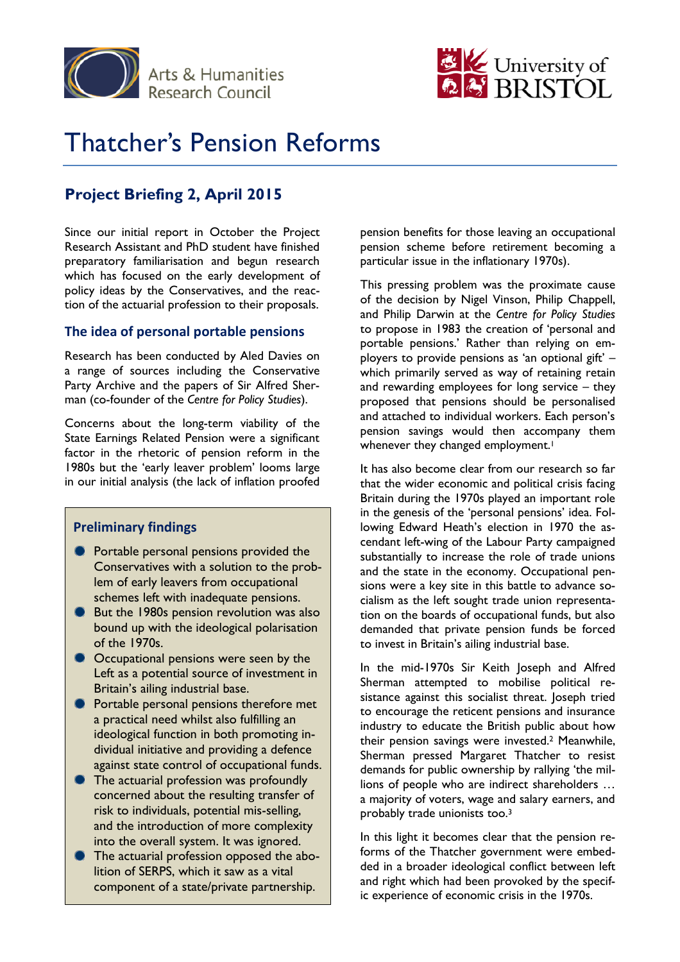



# Thatcher's Pension Reforms

# **Project Briefing 2, April 2015**

Since our initial report in October the Project Research Assistant and PhD student have finished preparatory familiarisation and begun research which has focused on the early development of policy ideas by the Conservatives, and the reaction of the actuarial profession to their proposals.

## **The idea of personal portable pensions**

Research has been conducted by Aled Davies on a range of sources including the Conservative Party Archive and the papers of Sir Alfred Sherman (co-founder of the *Centre for Policy Studies*).

Concerns about the long-term viability of the State Earnings Related Pension were a significant factor in the rhetoric of pension reform in the 1980s but the 'early leaver problem' looms large in our initial analysis (the lack of inflation proofed

## **Preliminary findings**

- **Portable personal pensions provided the** Conservatives with a solution to the problem of early leavers from occupational schemes left with inadequate pensions.
- But the 1980s pension revolution was also bound up with the ideological polarisation of the 1970s.
- Occupational pensions were seen by the Left as a potential source of investment in Britain's ailing industrial base.
- **Portable personal pensions therefore met** a practical need whilst also fulfilling an ideological function in both promoting individual initiative and providing a defence against state control of occupational funds.
- **The actuarial profession was profoundly** concerned about the resulting transfer of risk to individuals, potential mis-selling, and the introduction of more complexity into the overall system. It was ignored.
- The actuarial profession opposed the abolition of SERPS, which it saw as a vital component of a state/private partnership.

pension benefits for those leaving an occupational pension scheme before retirement becoming a particular issue in the inflationary 1970s).

This pressing problem was the proximate cause of the decision by Nigel Vinson, Philip Chappell, and Philip Darwin at the *Centre for Policy Studies* to propose in 1983 the creation of 'personal and portable pensions.' Rather than relying on employers to provide pensions as 'an optional gift' – which primarily served as way of retaining retain and rewarding employees for long service – they proposed that pensions should be personalised and attached to individual workers. Each person's pension savings would then accompany them whenever they changed employment.<sup>1</sup>

It has also become clear from our research so far that the wider economic and political crisis facing Britain during the 1970s played an important role in the genesis of the 'personal pensions' idea. Following Edward Heath's election in 1970 the ascendant left-wing of the Labour Party campaigned substantially to increase the role of trade unions and the state in the economy. Occupational pensions were a key site in this battle to advance socialism as the left sought trade union representation on the boards of occupational funds, but also demanded that private pension funds be forced to invest in Britain's ailing industrial base.

In the mid-1970s Sir Keith Joseph and Alfred Sherman attempted to mobilise political resistance against this socialist threat. Joseph tried to encourage the reticent pensions and insurance industry to educate the British public about how their pension savings were invested.<sup>2</sup> Meanwhile, Sherman pressed Margaret Thatcher to resist demands for public ownership by rallying 'the millions of people who are indirect shareholders … a majority of voters, wage and salary earners, and probably trade unionists too.<sup>3</sup>

In this light it becomes clear that the pension reforms of the Thatcher government were embedded in a broader ideological conflict between left and right which had been provoked by the specific experience of economic crisis in the 1970s.